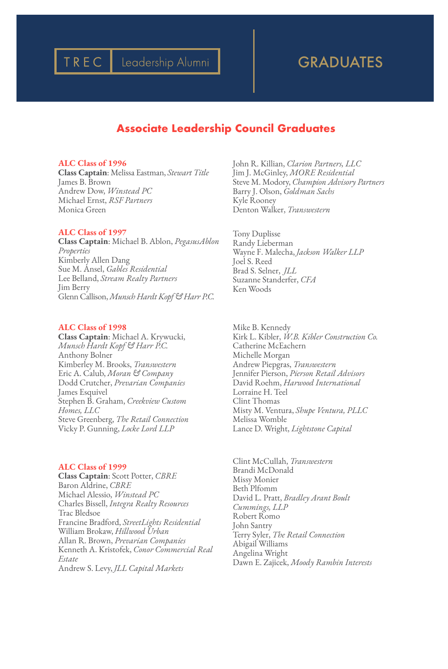# TREC | Leadership Alumni | | | GRADUATES

# **Associate Leadership Council Graduates**

### ALC Class of 1996

Class Captain: Melissa Eastman, *Stewart Title* James B. Brown Andrew Dow, *Winstead PC* Michael Ernst, *RSF Partners* Monica Green

# ALC Class of 1997

Class Captain: Michael B. Ablon, *PegasusAblon Properties* Kimberly Allen Dang Sue M. Ansel, *Gables Residential* Lee Belland, *Stream Realty Partners* Jim Berry Glenn Callison, *Munsch Hardt Kopf & Harr P.C.*

### ALC Class of 1998

Class Captain: Michael A. Krywucki, *Munsch Hardt Kopf & Harr P.C.* Anthony Bolner Kimberley M. Brooks, *Transwestern* Eric A. Calub, *Moran & Company* Dodd Crutcher, *Prevarian Companies* James Esquivel Stephen B. Graham, *Creekview Custom Homes, LLC* Steve Greenberg, *The Retail Connection* Vicky P. Gunning, *Locke Lord LLP*

### ALC Class of 1999

Class Captain: Scott Potter, *CBRE* Baron Aldrine, *CBRE* Michael Alessio, *Winstead PC* Charles Bissell, *Integra Realty Resources* Trac Bledsoe Francine Bradford, *StreetLights Residential* William Brokaw, *Hillwood Urban* Allan R. Brown, *Prevarian Companies* Kenneth A. Kristofek, *Conor Commercial Real Estate* Andrew S. Levy, *JLL Capital Markets*

John R. Killian, *Clarion Partners, LLC* Jim J. McGinley, *MORE Residential* Steve M. Modory, *Champion Advisory Partners* Barry J. Olson, *Goldman Sachs* Kyle Rooney Denton Walker, *Transwestern*

Tony Duplisse Randy Lieberman Wayne F. Malecha, *Jackson Walker LLP* Joel S. Reed Brad S. Selner, *JLL* Suzanne Standerfer, *CFA* Ken Woods

Mike B. Kennedy Kirk L. Kibler, *W.B. Kibler Construction Co.* Catherine McEachern Michelle Morgan Andrew Piepgras, *Transwestern* Jennifer Pierson, *Pierson Retail Advisors* David Roehm, *Harwood International* Lorraine H. Teel Clint Thomas Misty M. Ventura, *Shupe Ventura, PLLC* Melissa Womble Lance D. Wright, *Lightstone Capital*

Clint McCullah, *Transwestern* Brandi McDonald Missy Monier Beth Plfomm David L. Pratt, *Bradley Arant Boult Cummings, LLP* Robert Romo John Santry Terry Syler, *The Retail Connection* Abigail Williams Angelina Wright Dawn E. Zajicek, *Moody Rambin Interests*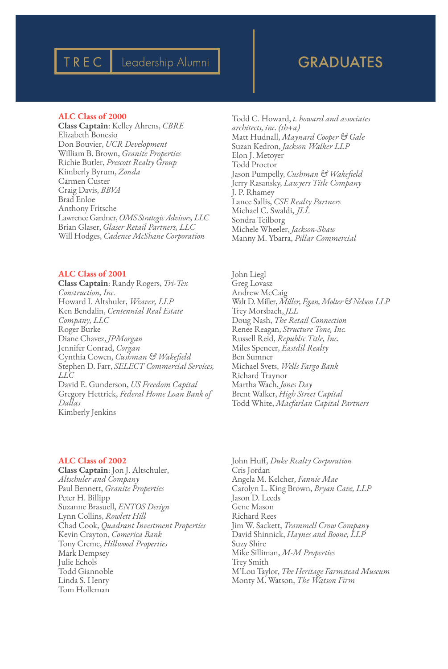# GRADUATES

# ALC Class of 2000

TREC

Class Captain: Kelley Ahrens, *CBRE* Elizabeth Bonesio Don Bouvier, *UCR Development* William B. Brown, *Granite Properties* Richie Butler, *Prescott Realty Group* Kimberly Byrum, *Zonda* Carmen Custer Craig Davis, *BBVA* Brad Enloe Anthony Fritsche Lawrence Gardner, *OMS Strategic Advisors, LLC* Brian Glaser, *Glaser Retail Partners, LLC* Will Hodges, *Cadence McShane Corporation*

Leadership Alumni

## ALC Class of 2001

Class Captain: Randy Rogers, *Tri-Tex Construction, Inc.* Howard I. Altshuler, *Weaver, LLP* Ken Bendalin, *Centennial Real Estate Company, LLC* Roger Burke Diane Chavez, *JPMorgan* Jennifer Conrad, *Corgan* Cynthia Cowen, *Cushman & Wakefield* Stephen D. Farr, *SELECT Commercial Services, LLC* David E. Gunderson, *US Freedom Capital* Gregory Hettrick, *Federal Home Loan Bank of Dallas* Kimberly Jenkins

Todd C. Howard, *t. howard and associates architects, inc. (th+a)* Matt Hudnall, *Maynard Cooper & Gale* Suzan Kedron, *Jackson Walker LLP* Elon J. Metoyer Todd Proctor Jason Pumpelly, *Cushman & Wakefield* Jerry Rasansky, *Lawyers Title Company* J. P. Rhamey Lance Sallis, *CSE Realty Partners* Michael C. Swaldi, *JLL* Sondra Teilborg Michele Wheeler, *Jackson-Shaw* Manny M. Ybarra, *Pillar Commercial*

John Liegl Greg Lovasz Andrew McCaig Walt D. Miller, *Miller, Egan, Molter & Nelson LLP* Trey Morsbach, *JLL* Doug Nash, *The Retail Connection* Renee Reagan, *Structure Tone, Inc.* Russell Reid, *Republic Title, Inc.* Miles Spencer, *Eastdil Realty* Ben Sumner Michael Svets, *Wells Fargo Bank* Richard Traynor Martha Wach, *Jones Day* Brent Walker, *High Street Capital* Todd White, *Macfarlan Capital Partners*

### ALC Class of 2002

Class Captain: Jon J. Altschuler, *Altschuler and Company* Paul Bennett, *Granite Properties* Peter H. Billipp Suzanne Brasuell, *ENTOS Design* Lynn Collins, *Rowlett Hill* Chad Cook, *Quadrant Investment Properties* Kevin Crayton, *Comerica Bank* Tony Creme, *Hillwood Properties* Mark Dempsey Julie Echols Todd Giannoble Linda S. Henry Tom Holleman

John Huff, *Duke Realty Corporation* Cris Jordan Angela M. Kelcher, *Fannie Mae* Carolyn L. King Brown, *Bryan Cave, LLP* Jason D. Leeds Gene Mason Richard Rees Jim W. Sackett, *Trammell Crow Company* David Shinnick, *Haynes and Boone, LLP* Suzy Shire Mike Silliman, *M-M Properties* Trey Smith M'Lou Taylor, *The Heritage Farmstead Museum* Monty M. Watson, *The Watson Firm*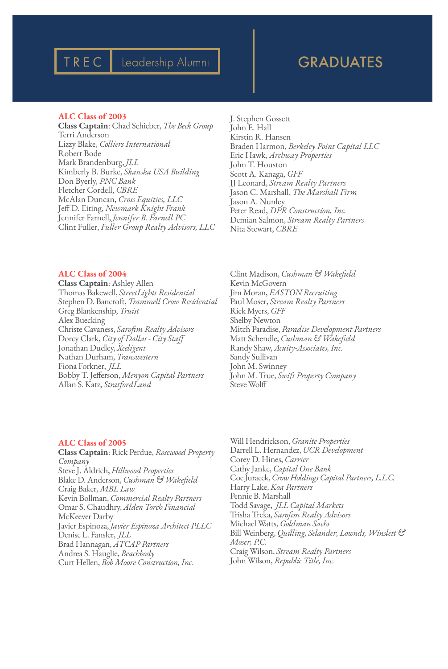# TREC | Leadership Alumni | | | GRADUATES

## ALC Class of 2003

Class Captain: Chad Schieber, *The Beck Group* Terri Anderson Lizzy Blake, *Colliers International* Robert Bode Mark Brandenburg, *JLL* Kimberly B. Burke, *Skanska USA Building* Don Byerly, *PNC Bank* Fletcher Cordell, *CBRE* McAlan Duncan, *Cross Equities, LLC* Jeff D. Eiting, *Newmark Knight Frank* Jennifer Farnell, *Jennifer B. Farnell PC* Clint Fuller, *Fuller Group Realty Advisors, LLC* J. Stephen Gossett John E. Hall Kirstin R. Hansen Braden Harmon, *Berkeley Point Capital LLC* Eric Hawk, *Archway Properties* John T. Houston Scott A. Kanaga, *GFF* JJ Leonard, *Stream Realty Partners* Jason C. Marshall, *The Marshall Firm* Jason A. Nunley Peter Read, *DPR Construction, Inc.* Demian Salmon, *Stream Realty Partners* Nita Stewart, *CBRE*

# ALC Class of 2004

Class Captain: Ashley Allen Thomas Bakewell, *StreetLights Residential* Stephen D. Bancroft, *Trammell Crow Residential* Greg Blankenship, *Truist* Alex Buecking Christe Cavaness, *Sarofim Realty Advisors* Dorcy Clark, *City of Dallas - City Staff* Jonathan Dudley, *Xceligent* Nathan Durham, *Transwestern* Fiona Forkner, *JLL* Bobby T. Jefferson, *Menyon Capital Partners* Allan S. Katz, *StratfordLand*

Clint Madison, *Cushman & Wakefield* Kevin McGovern Jim Moran, *EASTON Recruiting* Paul Moser, *Stream Realty Partners* Rick Myers, *GFF* Shelby Newton Mitch Paradise, *Paradise Development Partners* Matt Schendle, *Cushman & Wakefield* Randy Shaw, *Acuity-Associates, Inc.* Sandy Sullivan John M. Swinney John M. True, *Swift Property Company* Steve Wolff

### ALC Class of 2005

Class Captain: Rick Perdue, *Rosewood Property Company* Steve J. Aldrich, *Hillwood Properties* Blake D. Anderson, *Cushman & Wakefield* Craig Baker, *MBL Law* Kevin Bollman, *Commercial Realty Partners* Omar S. Chaudhry, *Alden Torch Financial* McKeever Darby Javier Espinoza, *Javier Espinoza Architect PLLC* Denise L. Fansler, *JLL* Brad Hannagan, *ATCAP Partners* Andrea S. Hauglie, *Beachbody* Curt Hellen, *Bob Moore Construction, Inc.*

Will Hendrickson, *Granite Properties* Darrell L. Hernandez, *UCR Development* Corey D. Hines, *Carrier* Cathy Janke, *Capital One Bank* Coe Juracek, *Crow Holdings Capital Partners, L.L.C.* Harry Lake, *Koa Partners* Pennie B. Marshall Todd Savage, *JLL Capital Markets* Trisha Trcka, *Sarofim Realty Advisors* Michael Watts, *Goldman Sachs* Bill Weinberg, *Quilling, Selander, Lownds, Winslett & Moser, P.C.* Craig Wilson, *Stream Realty Partners* John Wilson, *Republic Title, Inc.*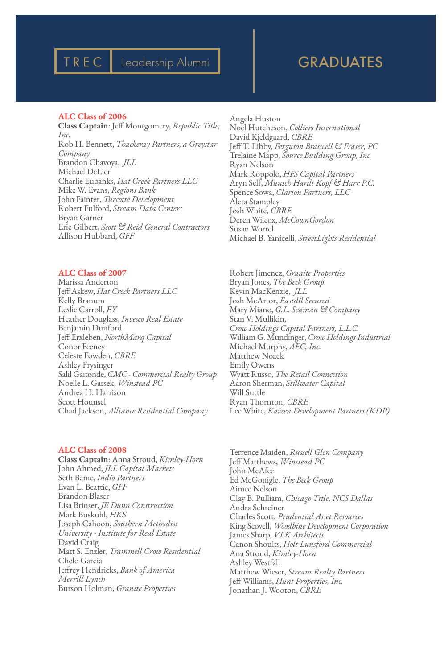# GRADUATES

## ALC Class of 2006

TREC

Class Captain: Jeff Montgomery, *Republic Title, Inc.* Rob H. Bennett, *Thackeray Partners, a Greystar Company* Brandon Chavoya, *JLL* Michael DeLier Charlie Eubanks, *Hat Creek Partners LLC* Mike W. Evans, *Regions Bank* John Fainter, *Turcotte Development* Robert Fulford, *Stream Data Centers* Bryan Garner Eric Gilbert, *Scott & Reid General Contractors* Allison Hubbard, *GFF*

ALC Class of 2007

Marissa Anderton Jeff Askew, *Hat Creek Partners LLC* Kelly Branum Leslie Carroll, *EY* Heather Douglass, *Invesco Real Estate* Benjamin Dunford Jeff Erxleben, *NorthMarq Capital* Conor Feeney Celeste Fowden, *CBRE* Ashley Frysinger Salil Gaitonde, *CMC - Commercial Realty Group* Noelle L. Garsek, *Winstead PC* Andrea H. Harrison Scott Hounsel Chad Jackson, *Alliance Residential Company*

# ALC Class of 2008

Class Captain: Anna Stroud, *Kimley-Horn* John Ahmed, *JLL Capital Markets* Seth Bame, *Indio Partners* Evan L. Beattie, *GFF* Brandon Blaser Lisa Brinser, *JE Dunn Construction* Mark Buskuhl, *HKS* Joseph Cahoon, *Southern Methodist University - Institute for Real Estate* David Craig Matt S. Enzler, *Trammell Crow Residential* Chelo Garcia Jeffrey Hendricks, *Bank of America Merrill Lynch* Burson Holman, *Granite Properties*

Angela Huston Noel Hutcheson, *Colliers International* David Kjeldgaard, *CBRE* Jeff T. Libby, *Ferguson Braswell & Fraser, PC* Trelaine Mapp, *Source Building Group, Inc* Ryan Nelson Mark Roppolo, *HFS Capital Partners* Aryn Self, *Munsch Hardt Kopf & Harr P.C.* Spence Sowa, *Clarion Partners, LLC* Aleta Stampley Josh White, *CBRE* Deren Wilcox, *McCownGordon* Susan Worrel Michael B. Yanicelli, *StreetLights Residential*

Robert Jimenez, *Granite Properties* Bryan Jones, *The Beck Group* Kevin MacKenzie, *JLL* Josh McArtor, *Eastdil Secured* Mary Miano, *G.L. Seaman & Company* Stan V. Mullikin, *Crow Holdings Capital Partners, L.L.C.* William G. Mundinger, *Crow Holdings Industrial* Michael Murphy, *AEC, Inc.* Matthew Noack Emily Owens Wyatt Russo, *The Retail Connection* Aaron Sherman, *Stillwater Capital* Will Suttle Ryan Thornton, *CBRE* Lee White, *Kaizen Development Partners (KDP)*

Terrence Maiden, *Russell Glen Company* Jeff Matthews, *Winstead PC* John McAfee Ed McGonigle, *The Beck Group* Aimee Nelson Clay B. Pulliam, *Chicago Title, NCS Dallas* Andra Schreiner Charles Scott, *Prudential Asset Resources* King Scovell, *Woodbine Development Corporation* James Sharp, *VLK Architects* Canon Shoults, *Holt Lunsford Commercial* Ana Stroud, *Kimley-Horn* Ashley Westfall Matthew Wieser, *Stream Realty Partners* Jeff Williams, *Hunt Properties, Inc.* Jonathan J. Wooton, *CBRE*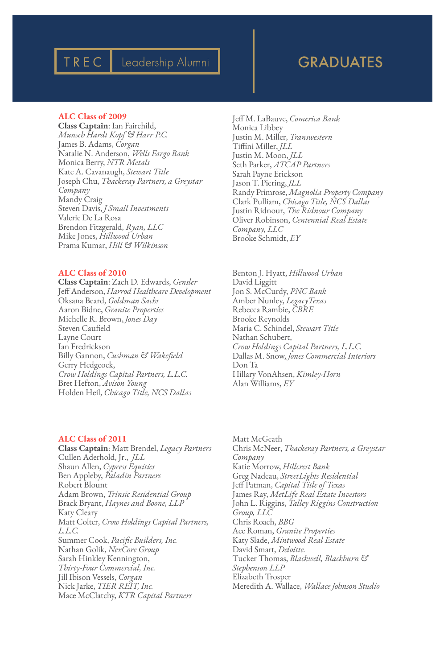# TREC | Leadership Alumni | | | | GRADUATES

# ALC Class of 2009

Class Captain: Ian Fairchild, *Munsch Hardt Kopf & Harr P.C.* James B. Adams, *Corgan* Natalie N. Anderson, *Wells Fargo Bank* Monica Berry, *NTR Metals* Kate A. Cavanaugh, *Stewart Title* Joseph Chu, *Thackeray Partners, a Greystar Company* Mandy Craig Steven Davis, *J Small Investments* Valerie De La Rosa Brendon Fitzgerald, *Ryan, LLC* Mike Jones, *Hillwood Urban* Prama Kumar, *Hill & Wilkinson*

# ALC Class of 2010

Class Captain: Zach D. Edwards, *Gensler* Jeff Anderson, *Harrod Healthcare Development* Oksana Beard, *Goldman Sachs* Aaron Bidne, *Granite Properties* Michelle R. Brown, *Jones Day* Steven Caufield Layne Court Ian Fredrickson Billy Gannon, *Cushman & Wakefield* Gerry Hedgcock, *Crow Holdings Capital Partners, L.L.C.* Bret Hefton, *Avison Young* Holden Heil, *Chicago Title, NCS Dallas*

# ALC Class of 2011

Class Captain: Matt Brendel, *Legacy Partners* Cullen Aderhold, Jr., *JLL* Shaun Allen, *Cypress Equities* Ben Appleby, *Paladin Partners* Robert Blount Adam Brown, *Trinsic Residential Group* Brack Bryant, *Haynes and Boone, LLP* Katy Cleary Matt Colter, *Crow Holdings Capital Partners, L.L.C.* Summer Cook, *Pacific Builders, Inc.* Nathan Golik, *NexCore Group* Sarah Hinkley Kennington, *Thirty-Four Commercial, Inc.* Jill Ibison Vessels, *Corgan* Nick Jarke, *TIER REIT, Inc.* Mace McClatchy, *KTR Capital Partners*

Jeff M. LaBauve, *Comerica Bank* Monica Libbey Justin M. Miller, *Transwestern* Tiffini Miller, *JLL* Justin M. Moon, *JLL* Seth Parker, *ATCAP Partners* Sarah Payne Erickson Jason T. Piering, *JLL* Randy Primrose, *Magnolia Property Company* Clark Pulliam, *Chicago Title, NCS Dallas* Justin Ridnour, *The Ridnour Company* Oliver Robinson, *Centennial Real Estate Company, LLC* Brooke Schmidt, *EY*

Benton J. Hyatt, *Hillwood Urban* David Liggitt Jon S. McCurdy, *PNC Bank* Amber Nunley, *LegacyTexas* Rebecca Rambie, *CBRE* Brooke Reynolds Maria C. Schindel, *Stewart Title* Nathan Schubert, *Crow Holdings Capital Partners, L.L.C.* Dallas M. Snow, *Jones Commercial Interiors* Don Ta Hillary VonAhsen, *Kimley-Horn* Alan Williams, *EY*

Matt McGeath Chris McNeer, *Thackeray Partners, a Greystar Company* Katie Morrow, *Hillcrest Bank* Greg Nadeau, *StreetLights Residential* Jeff Patman, *Capital Title of Texas* James Ray, *MetLife Real Estate Investors* John L. Riggins, *Talley Riggins Construction Group, LLC* Chris Roach, *BBG* Ace Roman, *Granite Properties* Katy Slade, *Mintwood Real Estate* David Smart, *Deloitte.* Tucker Thomas, *Blackwell, Blackburn & Stephenson LLP* Elizabeth Trosper Meredith A. Wallace, *Wallace Johnson Studio*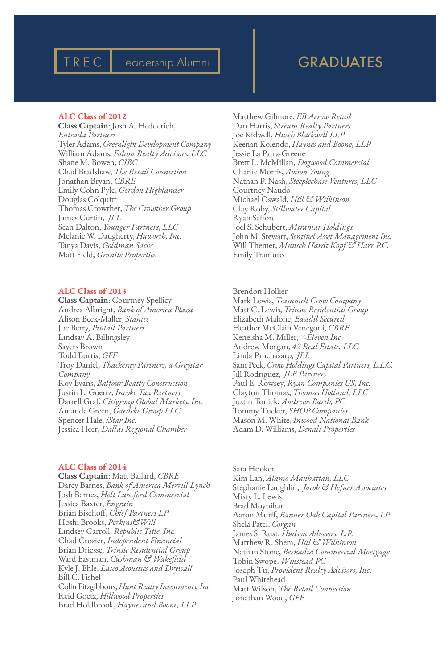# GRADUATES

# ALC Class of 2012

TREC

Class Captain: Josh A. Hedderich, *Entrada Partners* Tyler Adams, *Greenlight Development Company* William Adams, *Falcon Realty Advisors, LLC* Shane M. Bowen, *CIBC* Chad Bradshaw, *The Retail Connection* Jonathan Bryan, *CBRE* Emily Cohn Pyle, *Gordon Highlander* Douglas Colquitt Thomas Crowther, *The Crowther Group* James Curtin, *JLL* Sean Dalton, *Younger Partners, LLC* Melanie W. Daugherty, *Haworth, Inc.* Tanya Davis, *Goldman Sachs* Matt Field, *Granite Properties*

Leadership Alumni

# ALC Class of 2013

Class Captain: Courtney Spellicy Andrea Albright, *Bank of America Plaza* Alison Beck-Maller, *Stantec* Joe Berry, *Pintail Partners* Lindsay A. Billingsley Sayers Brown Todd Burtis, *GFF* Troy Daniel, *Thackeray Partners, a Greystar Company* Roy Evans, *Balfour Beatty Construction* Justin L. Goertz, *Invoke Tax Partners* Darrell Graf, *Citigroup Global Markets, Inc.* Amanda Green, *Gaedeke Group LLC* Spencer Hale, *iStar Inc.* Jessica Heer, *Dallas Regional Chamber*

### ALC Class of 2014

Class Captain: Matt Ballard, *CBRE* Darcy Barnes, *Bank of America Merrill Lynch* Josh Barnes, *Holt Lunsford Commercial* Jessica Baxter, *Engrain* Brian Bischoff, *Chief Partners LP* Hoshi Brooks, *Perkins&Will* Lindsey Carroll, *Republic Title, Inc.* Chad Crozier, *Independent Financial* Brian Driesse, *Trinsic Residential Group* Ward Eastman, *Cushman & Wakefield* Kyle J. Ehle, *Lasco Acoustics and Drywall* Bill C. Fishel Colin Fitzgibbons, *Hunt Realty Investments, Inc.* Reid Goetz, *Hillwood Properties* Brad Holdbrook, *Haynes and Boone, LLP*

Matthew Gilmore, *EB Arrow Retail* Dan Harris, *Stream Realty Partners* Joe Kidwell, *Husch Blackwell LLP* Keenan Kolendo, *Haynes and Boone, LLP* Jessie La Patra-Greene Brett L. McMillan, *Dogwood Commercial* Charlie Morris, *Avison Young* Nathan P. Nash, *Steeplechase Ventures, LLC* Courtney Naudo Michael Oswald, *Hill & Wilkinson* Clay Roby, *Stillwater Capital* Ryan Safford Joel S. Schubert, *Miramar Holdings* John M. Stewart, *Sentinel Asset Management Inc.* Will Themer, *Munsch Hardt Kopf & Harr P.C.* Emily Tramuto

Brendon Hollier Mark Lewis, *Trammell Crow Company* Matt C. Lewis, *Trinsic Residential Group* Elizabeth Malone, *Eastdil Secured* Heather McClain Venegoni, *CBRE* Keneisha M. Miller, *7-Eleven Inc.* Andrew Morgan, *42 Real Estate, LLC* Linda Panchasarp, *JLL* Sam Peck, *Crow Holdings Capital Partners, L.L.C.* Jill Rodriguez, *JLB Partners* Paul E. Rowsey, *Ryan Companies US, Inc.* Clayton Thomas, *Thomas Holland, LLC* Justin Tonick, *Andrews Barth, PC* Tommy Tucker, *SHOP Companies* Mason M. White, *Inwood National Bank* Adam D. Williams, *Denali Properties*

Sara Hooker Kim Lan, *Alamo Manhattan, LLC* Stephanie Laughlin, *Jacob & Hefner Associates* Misty L. Lewis Brad Moynihan Aaron Murff, *Banner Oak Capital Partners, LP* Shela Patel, *Corgan* James S. Rust, *Hudson Advisors, L.P.* Matthew R. Shem, *Hill & Wilkinson* Nathan Stone, *Berkadia Commercial Mortgage* Tobin Swope, *Winstead PC* Joseph Tu, *Provident Realty Advisors, Inc*. Paul Whitehead Matt Wilson, *The Retail Connection* Jonathan Wood, *GFF*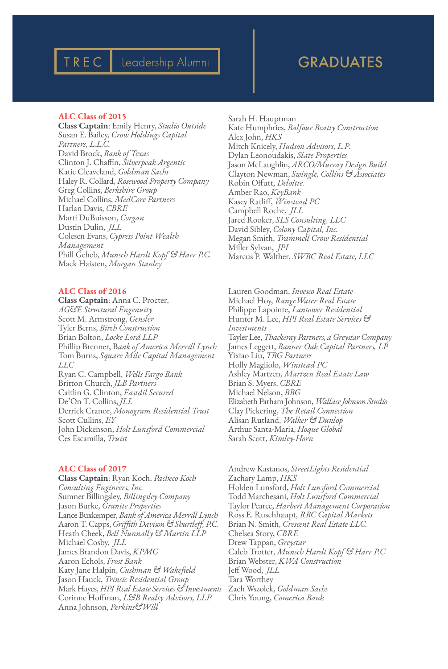# TREC | Leadership Alumni | | | GRADUATES

# ALC Class of 2015

Class Captain: Emily Henry, *Studio Outside* Susan E. Bailey, *Crow Holdings Capital Partners, L.L.C.* David Brock, *Bank of Texas* Clinton J. Chaffin, *Silverpeak Argentic* Katie Cleaveland, *Goldman Sachs* Haley R. Collard, *Rosewood Property Company* Greg Collins, *Berkshire Group* Michael Collins, *MedCore Partners* Harlan Davis, *CBRE* Marti DuBuisson, *Corgan* Dustin Dulin, *JLL* Colesen Evans, *Cypress Point Wealth Management* Phill Geheb, *Munsch Hardt Kopf & Harr P.C.* Mack Haisten, *Morgan Stanley*

# ALC Class of 2016

Class Captain: Anna C. Procter, *AG&E Structural Engenuity* Scott M. Armstrong, *Gensler* Tyler Berns, *Birch Construction* Brian Bolton, *Locke Lord LLP* Phillip Brenner, B*ank of America Merrill Lynch* Tom Burns, *Square Mile Capital Management LLC* Ryan C. Campbell, *Wells Fargo Bank* Britton Church, *JLB Partners* Caitlin G. Clinton, *Eastdil Secured* De'On T. Collins, *JLL* Derrick Cranor, *Monogram Residential Trust* Scott Cullins, *EY* John Dickenson, *Holt Lunsford Commercial* Ces Escamilla, *Truist*

# ALC Class of 2017

Class Captain: Ryan Koch, *Pacheco Koch Consulting Engineers, Inc.* Sumner Billingsley, *Billingsley Company* Jason Burke, *Granite Properties* Lance Buxkemper, *Bank of America Merrill Lynch* Aaron T. Capps, *Griffith Davison & Shurtleff, P.C.* Heath Cheek, *Bell Nunnally & Martin LLP* Michael Cosby, *JLL* James Brandon Davis, *KPMG* Aaron Echols, *Frost Bank* Katy Jane Halpin, *Cushman & Wakefield* Jason Hauck, *Trinsic Residential Group* Mark Hayes, *HPI Real Estate Services & Investments* Corinne Hoffman, *L&B Realty Advisors, LLP* Anna Johnson, *Perkins&Will*

Sarah H. Hauptman Kate Humphries, *Balfour Beatty Construction* Alex John, *HKS* Mitch Knicely, *Hudson Advisors, L.P.* Dylan Leonoudakis, *Slate Properties* Jason McLaughlin, *ARCO/Murray Design Build* Clayton Newman, *Swingle, Collins & Associates* Robin Offutt, *Deloitte.* Amber Rao, *KeyBank* Kasey Ratliff, *Winstead PC* Campbell Roche, *JLL* Jared Rooker, *SLS Consulting, LLC*  David Sibley, *Colony Capital, Inc.* Megan Smith, *Trammell Crow Residential* Miller Sylvan, *JPI* Marcus P. Walther, *SWBC Real Estate, LLC*

Lauren Goodman, *Invesco Real Estate* Michael Hoy, *RangeWater Real Estate* Philippe Lapointe, *Lantower Residential* Hunter M. Lee, *HPI Real Estate Services & Investments* Tayler Lee, *Thackeray Partners, a Greystar Company* James Leggett, *Banner Oak Capital Partners, LP* Yixiao Liu, *TBG Partners* Holly Magliolo, *Winstead PC* Ashley Martzen, *Martzen Real Estate Law* Brian S. Myers, *CBRE* Michael Nelson, *BBG* Elizabeth Parham Johnson, *Wallace Johnson Studio* Clay Pickering, *The Retail Connection* Alisan Rutland, *Walker & Dunlop* Arthur Santa-Maria, *Hoque Global* Sarah Scott, *Kimley-Horn*

Andrew Kastanos, *StreetLights Residential* Zachary Lamp, *HKS* Holden Lunsford, *Holt Lunsford Commercial* Todd Marchesani, *Holt Lunsford Commercial* Taylor Pearce, *Harbert Management Corporation* Ross E. Ruschhaupt, *RBC Capital Markets* Brian N. Smith, *Crescent Real Estate LLC.* Chelsea Story, *CBRE* Drew Tappan, *Greystar* Caleb Trotter, *Munsch Hardt Kopf & Harr P.C* Brian Webster, *KWA Construction* Jeff Wood, *JLL* Tara Worthey Zach Wszolek, *Goldman Sachs* Chris Young, *Comerica Bank*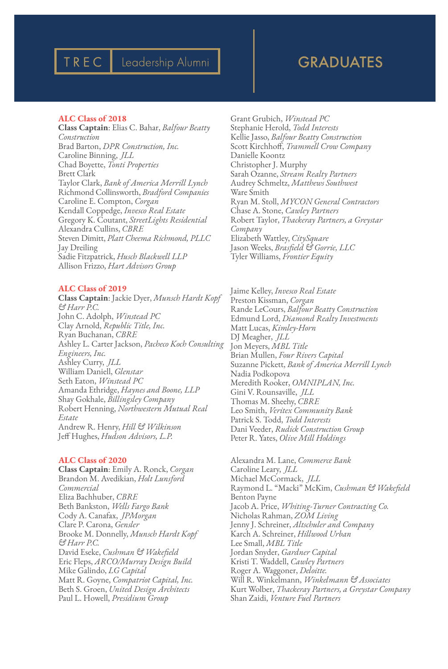# Leadership Alumni

# GRADUATES

## ALC Class of 2018

TREC

Class Captain: Elias C. Bahar, *Balfour Beatty Construction* Brad Barton, *DPR Construction, Inc.* Caroline Binning, *JLL* Chad Boyette, *Tonti Properties* Brett Clark Taylor Clark, *Bank of America Merrill Lynch* Richmond Collinsworth, *Bradford Companies* Caroline E. Compton, *Corgan* Kendall Coppedge, *Invesco Real Estate* Gregory K. Coutant, *StreetLights Residential* Alexandra Cullins, *CBRE* Steven Dimitt, *Platt Cheema Richmond, PLLC* Jay Dreiling Sadie Fitzpatrick, *Husch Blackwell LLP* Allison Frizzo, *Hart Advisors Group*

# ALC Class of 2019

Class Captain: Jackie Dyer, *Munsch Hardt Kopf & Harr P.C.* John C. Adolph, *Winstead PC* Clay Arnold, *Republic Title, Inc.* Ryan Buchanan, *CBRE* Ashley L. Carter Jackson, *Pacheco Koch Consulting Engineers, Inc.* Ashley Curry, *JLL* William Daniell, *Glenstar* Seth Eaton, *Winstead PC* Amanda Ethridge, *Haynes and Boone, LLP* Shay Gokhale, *Billingsley Company* Robert Henning, *Northwestern Mutual Real Estate* Andrew R. Henry, *Hill & Wilkinson* Jeff Hughes, *Hudson Advisors, L.P.*

## ALC Class of 2020

Class Captain: Emily A. Ronck, *Corgan* Brandon M. Avedikian, *Holt Lunsford Commercial* Eliza Bachhuber, *CBRE* Beth Bankston, *Wells Fargo Bank* Cody A. Canafax, *JPMorgan* Clare P. Carona, *Gensler* Brooke M. Donnelly, *Munsch Hardt Kopf & Harr P.C.* David Eseke, *Cushman & Wakefield* Eric Fleps, *ARCO/Murray Design Build* Mike Galindo, *LG Capital* Matt R. Goyne, *Compatriot Capital, Inc.* Beth S. Groen, *United Design Architects* Paul L. Howell, *Presidium Group*

Grant Grubich, *Winstead PC* Stephanie Herold, *Todd Interests* Kellie Jasso, *Balfour Beatty Construction* Scott Kirchhoff, *Trammell Crow Company* Danielle Koontz Christopher J. Murphy Sarah Ozanne, *Stream Realty Partners* Audrey Schmeltz, *Matthews Southwest* Ware Smith Ryan M. Stoll, *MYCON General Contractors* Chase A. Stone, *Cawley Partners* Robert Taylor, *Thackeray Partners, a Greystar Company* Elizabeth Wattley, *CitySquare* Jason Weeks, *Brasfield & Gorrie, LLC* Tyler Williams, *Frontier Equity*

Jaime Kelley, *Invesco Real Estate* Preston Kissman, *Corgan* Rande LeCours, *Balfour Beatty Construction* Edmund Lord, *Diamond Realty Investments* Matt Lucas, *Kimley-Horn* DJ Meagher, *JLL* Jon Meyers, *MBL Title* Brian Mullen, *Four Rivers Capital* Suzanne Pickett, *Bank of America Merrill Lynch* Nadia Podkopova Meredith Rooker, *OMNIPLAN, Inc.* Gini V. Rounsaville, *JLL* Thomas M. Sheehy, *CBRE* Leo Smith, *Veritex Community Bank* Patrick S. Todd, *Todd Interests* Dani Veeder, *Rudick Construction Group* Peter R. Yates, *Olive Mill Holdings*

Alexandra M. Lane, *Commerce Bank* Caroline Leary, *JLL* Michael McCormack, *JLL* Raymond L. "Macki" McKim, *Cushman & Wakefield* Benton Payne Jacob A. Price, *Whiting-Turner Contracting Co.* Nicholas Rahman, *ZOM Living* Jenny J. Schreiner, *Altschuler and Company* Karch A. Schreiner, *Hillwood Urban* Lee Small, *MBL Title* Jordan Snyder, *Gardner Capital* Kristi T. Waddell, *Cawley Partners* Roger A. Waggoner, *Deloitte.* Will R. Winkelmann, *Winkelmann & Associates* Kurt Wolber, *Thackeray Partners, a Greystar Company* Shan Zaidi, *Venture Fuel Partners*